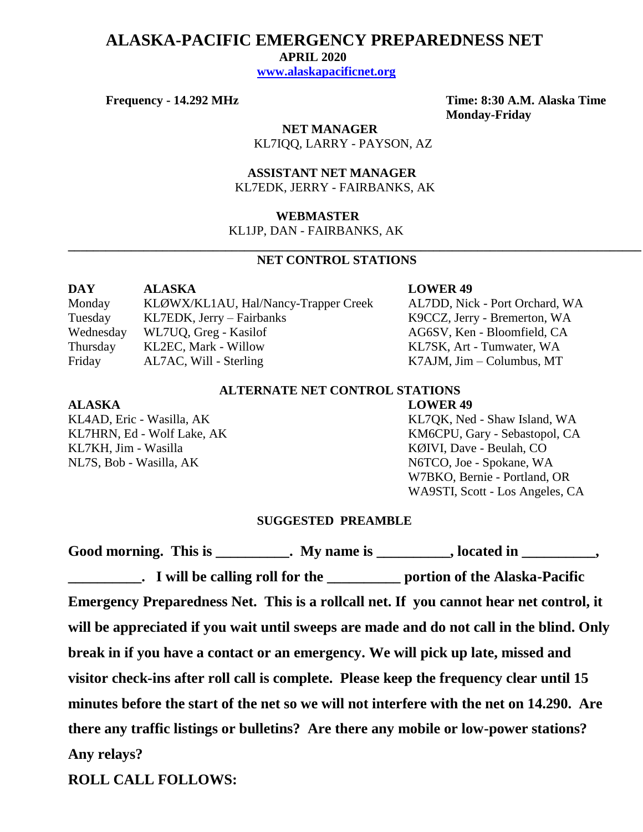# **ALASKA-PACIFIC EMERGENCY PREPAREDNESS NET**

 **APRIL 2020**

 **[www.alaskapacificnet.org](http://www.alaskapacificnet.org/)**

**Frequency - 14.292 MHz Time: 8:30 A.M. Alaska Time Monday-Friday**

> **NET MANAGER** KL7IQQ, LARRY - PAYSON, AZ

 **ASSISTANT NET MANAGER**  KL7EDK, JERRY - FAIRBANKS, AK

### **WEBMASTER**

KL1JP, DAN - FAIRBANKS, AK

## **NET CONTROL STATIONS**

**\_\_\_\_\_\_\_\_\_\_\_\_\_\_\_\_\_\_\_\_\_\_\_\_\_\_\_\_\_\_\_\_\_\_\_\_\_\_\_\_\_\_\_\_\_\_\_\_\_\_\_\_\_\_\_\_\_\_\_\_\_\_\_\_\_\_\_\_\_\_\_\_\_\_\_\_\_\_\_\_\_\_\_\_\_\_\_\_\_\_\_**

| DAY       | <b>ALASKA</b>                        |
|-----------|--------------------------------------|
| Monday    | KLØWX/KL1AU, Hal/Nancy-Trapper Creek |
| Tuesday   | KL7EDK, Jerry – Fairbanks            |
| Wednesday | WL7UQ, Greg - Kasilof                |
| Thursday  | KL2EC, Mark - Willow                 |
| Friday    | AL7AC, Will - Sterling               |

#### **LOWER 49**

AL7DD, Nick - Port Orchard, WA K9CCZ, Jerry - Bremerton, WA AG6SV, Ken - Bloomfield, CA KL7SK, Art - Tumwater, WA  $K7AJM$ , Jim – Columbus, MT

#### **ALTERNATE NET CONTROL STATIONS**

#### **ALASKA LOWER 49**

KL7KH, Jim - Wasilla KØIVI, Dave - Beulah, CO NL7S, Bob - Wasilla, AK N6TCO, Joe - Spokane, WA

KL4AD, Eric - Wasilla, AK KL7QK, Ned - Shaw Island, WA KL7HRN, Ed - Wolf Lake, AK KM6CPU, Gary - Sebastopol, CA W7BKO, Bernie - Portland, OR WA9STI, Scott - Los Angeles, CA

#### **SUGGESTED PREAMBLE**

Good morning. This is \_\_\_\_\_\_\_\_\_. My name is \_\_\_\_\_\_\_\_, located in \_\_\_\_\_\_\_\_, **Lacktriang Following roll for the <u>Lacktrian and the Alaska-Pacific</u> <b>C**  $\overline{\phantom{a}}$  **Lacktriang is a set of the Alaska-Pacific Emergency Preparedness Net. This is a rollcall net. If you cannot hear net control, it will be appreciated if you wait until sweeps are made and do not call in the blind. Only break in if you have a contact or an emergency. We will pick up late, missed and visitor check-ins after roll call is complete. Please keep the frequency clear until 15 minutes before the start of the net so we will not interfere with the net on 14.290. Are there any traffic listings or bulletins? Are there any mobile or low-power stations? Any relays?** 

**ROLL CALL FOLLOWS:**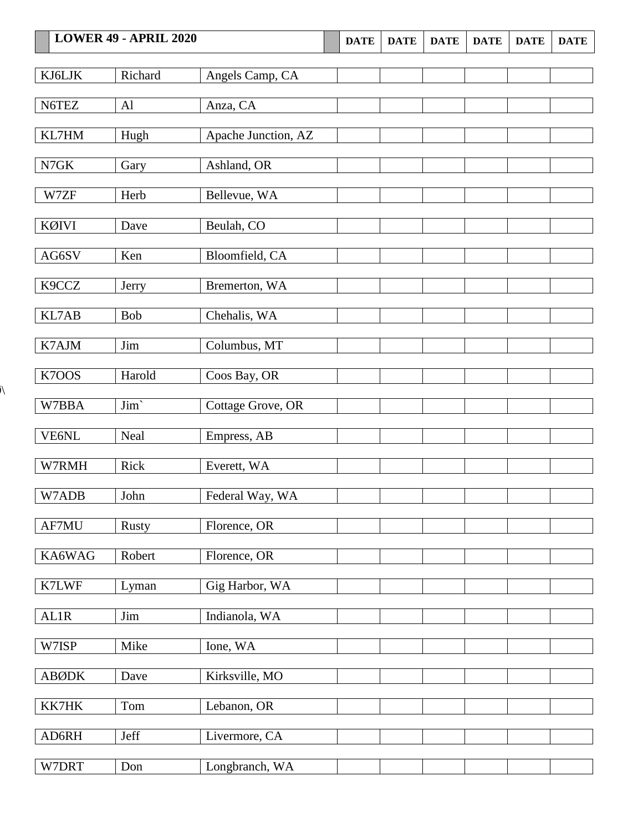|              | <b>LOWER 49 - APRIL 2020</b> |                     | <b>DATE</b> | <b>DATE</b> | <b>DATE</b> | <b>DATE</b> | <b>DATE</b> | <b>DATE</b> |
|--------------|------------------------------|---------------------|-------------|-------------|-------------|-------------|-------------|-------------|
| KJ6LJK       | Richard                      | Angels Camp, CA     |             |             |             |             |             |             |
| N6TEZ        | Al                           | Anza, CA            |             |             |             |             |             |             |
| KL7HM        | Hugh                         | Apache Junction, AZ |             |             |             |             |             |             |
| N7GK         | Gary                         | Ashland, OR         |             |             |             |             |             |             |
| W7ZF         | Herb                         | Bellevue, WA        |             |             |             |             |             |             |
| <b>KØIVI</b> | Dave                         | Beulah, CO          |             |             |             |             |             |             |
| AG6SV        | Ken                          | Bloomfield, CA      |             |             |             |             |             |             |
| K9CCZ        | Jerry                        | Bremerton, WA       |             |             |             |             |             |             |
| KL7AB        | <b>Bob</b>                   | Chehalis, WA        |             |             |             |             |             |             |
| K7AJM        | Jim                          | Columbus, MT        |             |             |             |             |             |             |
| K7OOS        | Harold                       | Coos Bay, OR        |             |             |             |             |             |             |

 $\lambda$ 

W7BBA Jim` Cottage Grove, OR VE6NL Neal Empress, AB W7RMH Rick Everett, WA W7ADB John Federal Way, WA AF7MU Rusty Florence, OR KA6WAG Robert Florence, OR K7LWF Lyman Gig Harbor, WA AL1R Jim Indianola, WA W7ISP Mike Ione, WA ABØDK Dave Kirksville, MO KK7HK Tom Lebanon, OR AD6RH Jeff Livermore, CA W7DRT Don Longbranch, WA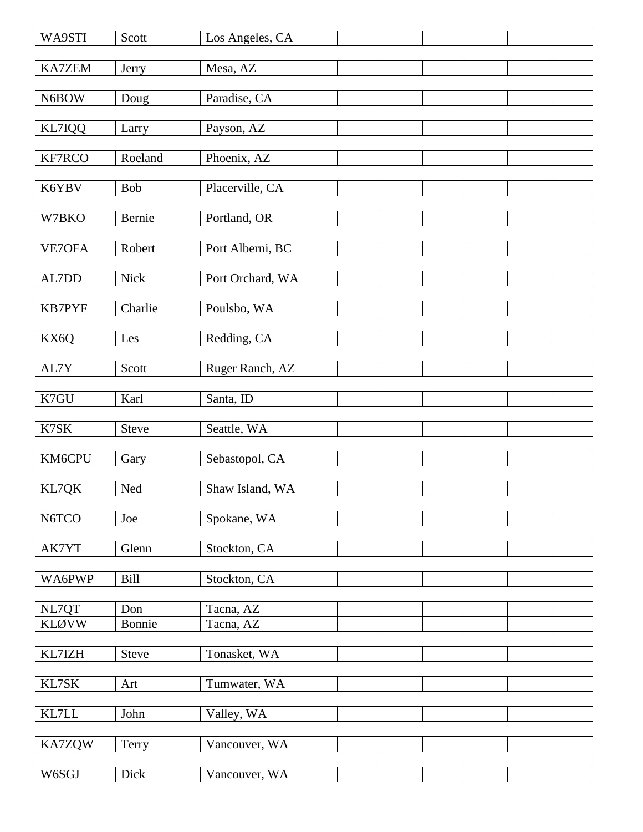| WA9STI        | Scott       | Los Angeles, CA  |  |  |  |
|---------------|-------------|------------------|--|--|--|
| <b>KA7ZEM</b> | Jerry       | Mesa, AZ         |  |  |  |
| N6BOW         | Doug        | Paradise, CA     |  |  |  |
|               |             |                  |  |  |  |
| KL7IQQ        | Larry       | Payson, AZ       |  |  |  |
| KF7RCO        | Roeland     | Phoenix, AZ      |  |  |  |
| K6YBV         | <b>Bob</b>  | Placerville, CA  |  |  |  |
| W7BKO         | Bernie      | Portland, OR     |  |  |  |
| VE7OFA        | Robert      | Port Alberni, BC |  |  |  |
| AL7DD         | <b>Nick</b> | Port Orchard, WA |  |  |  |
|               |             |                  |  |  |  |
| KB7PYF        | Charlie     | Poulsbo, WA      |  |  |  |
| KX6Q          | Les         | Redding, CA      |  |  |  |
|               |             |                  |  |  |  |
| AL7Y          | Scott       | Ruger Ranch, AZ  |  |  |  |
| K7GU          | Karl        | Santa, ID        |  |  |  |
| K7SK          | Steve       | Seattle, WA      |  |  |  |
| KM6CPU        | Gary        | Sebastopol, CA   |  |  |  |
|               |             |                  |  |  |  |
| KL7QK         | Ned         | Shaw Island, WA  |  |  |  |
| N6TCO         | Joe         | Spokane, WA      |  |  |  |
| AK7YT         | Glenn       | Stockton, CA     |  |  |  |
|               |             |                  |  |  |  |
| WA6PWP        | Bill        | Stockton, CA     |  |  |  |
| NL7QT         | Don         | Tacna, AZ        |  |  |  |
| <b>KLØVW</b>  | Bonnie      | Tacna, AZ        |  |  |  |
| KL7IZH        | Steve       | Tonasket, WA     |  |  |  |
| KL7SK         | Art         | Tumwater, WA     |  |  |  |
|               |             |                  |  |  |  |
| KL7LL         | John        | Valley, WA       |  |  |  |
| KA7ZQW        | Terry       | Vancouver, WA    |  |  |  |
|               |             |                  |  |  |  |
| W6SGJ         | Dick        | Vancouver, WA    |  |  |  |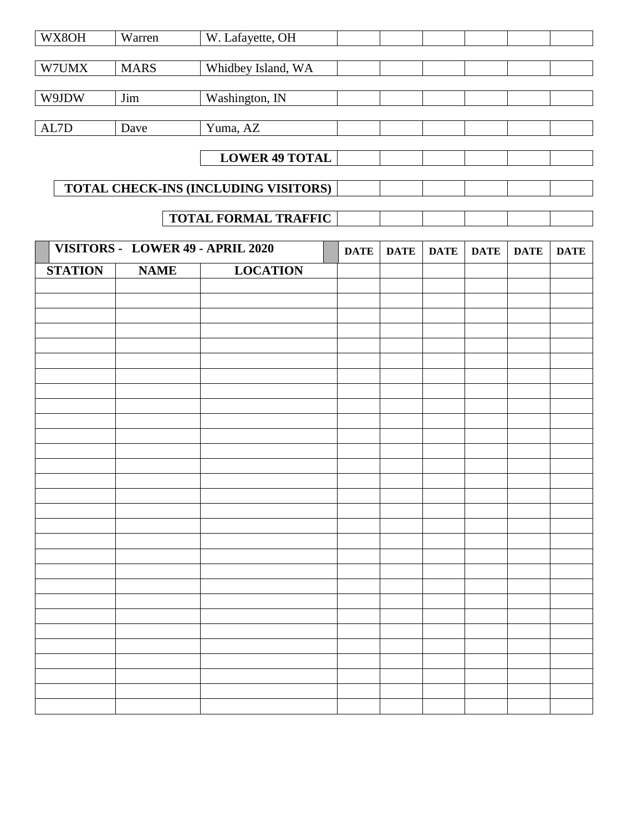| WX8OH          | Warren                           | W. Lafayette, OH                     |             |             |             |             |             |             |
|----------------|----------------------------------|--------------------------------------|-------------|-------------|-------------|-------------|-------------|-------------|
| W7UMX          | <b>MARS</b>                      | Whidbey Island, WA                   |             |             |             |             |             |             |
|                |                                  |                                      |             |             |             |             |             |             |
|                |                                  |                                      |             |             |             |             |             |             |
| W9JDW          | Jim                              | Washington, IN                       |             |             |             |             |             |             |
| AL7D           | Dave                             | Yuma, AZ                             |             |             |             |             |             |             |
|                |                                  |                                      |             |             |             |             |             |             |
|                |                                  | <b>LOWER 49 TOTAL</b>                |             |             |             |             |             |             |
|                |                                  | TOTAL CHECK-INS (INCLUDING VISITORS) |             |             |             |             |             |             |
|                |                                  |                                      |             |             |             |             |             |             |
|                |                                  | <b>TOTAL FORMAL TRAFFIC</b>          |             |             |             |             |             |             |
|                | VISITORS - LOWER 49 - APRIL 2020 |                                      | <b>DATE</b> | <b>DATE</b> | <b>DATE</b> | <b>DATE</b> | <b>DATE</b> | <b>DATE</b> |
|                |                                  |                                      |             |             |             |             |             |             |
| <b>STATION</b> | <b>NAME</b>                      | <b>LOCATION</b>                      |             |             |             |             |             |             |
|                |                                  |                                      |             |             |             |             |             |             |
|                |                                  |                                      |             |             |             |             |             |             |
|                |                                  |                                      |             |             |             |             |             |             |
|                |                                  |                                      |             |             |             |             |             |             |
|                |                                  |                                      |             |             |             |             |             |             |
|                |                                  |                                      |             |             |             |             |             |             |
|                |                                  |                                      |             |             |             |             |             |             |
|                |                                  |                                      |             |             |             |             |             |             |
|                |                                  |                                      |             |             |             |             |             |             |
|                |                                  |                                      |             |             |             |             |             |             |
|                |                                  |                                      |             |             |             |             |             |             |
|                |                                  |                                      |             |             |             |             |             |             |
|                |                                  |                                      |             |             |             |             |             |             |
|                |                                  |                                      |             |             |             |             |             |             |
|                |                                  |                                      |             |             |             |             |             |             |
|                |                                  |                                      |             |             |             |             |             |             |
|                |                                  |                                      |             |             |             |             |             |             |
|                |                                  |                                      |             |             |             |             |             |             |
|                |                                  |                                      |             |             |             |             |             |             |
|                |                                  |                                      |             |             |             |             |             |             |
|                |                                  |                                      |             |             |             |             |             |             |
|                |                                  |                                      |             |             |             |             |             |             |
|                |                                  |                                      |             |             |             |             |             |             |
|                |                                  |                                      |             |             |             |             |             |             |
|                |                                  |                                      |             |             |             |             |             |             |
|                |                                  |                                      |             |             |             |             |             |             |
|                |                                  |                                      |             |             |             |             |             |             |
|                |                                  |                                      |             |             |             |             |             |             |
|                |                                  |                                      |             |             |             |             |             |             |
|                |                                  |                                      |             |             |             |             |             |             |
|                |                                  |                                      |             |             |             |             |             |             |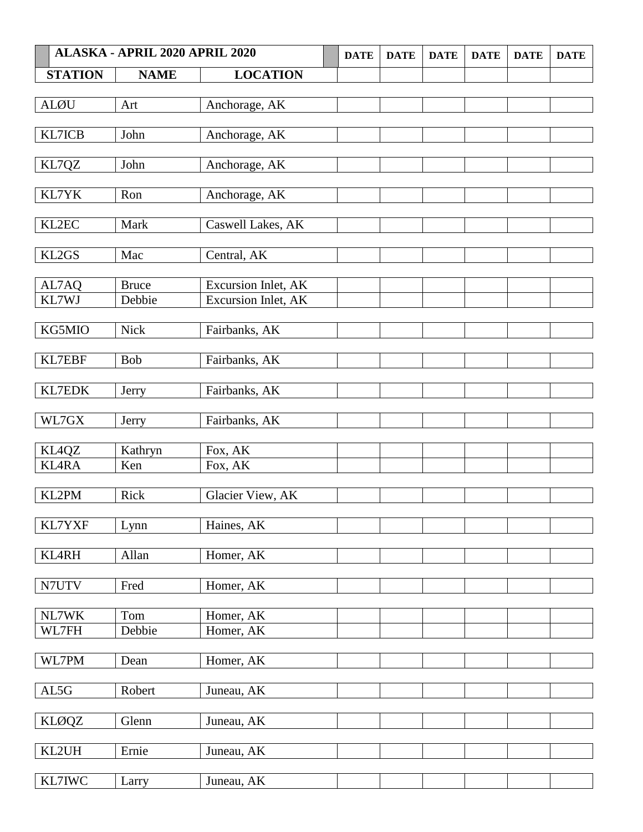| <b>ALASKA - APRIL 2020 APRIL 2020</b> |                | <b>DATE</b>            | <b>DATE</b> | <b>DATE</b> | <b>DATE</b> | <b>DATE</b> | <b>DATE</b> |  |
|---------------------------------------|----------------|------------------------|-------------|-------------|-------------|-------------|-------------|--|
| <b>STATION</b>                        | <b>NAME</b>    | <b>LOCATION</b>        |             |             |             |             |             |  |
|                                       |                |                        |             |             |             |             |             |  |
| <b>ALØU</b>                           | Art            | Anchorage, AK          |             |             |             |             |             |  |
| KL7ICB                                | John           | Anchorage, AK          |             |             |             |             |             |  |
|                                       |                |                        |             |             |             |             |             |  |
| KL7QZ                                 | John           | Anchorage, AK          |             |             |             |             |             |  |
|                                       |                |                        |             |             |             |             |             |  |
| KL7YK                                 | Ron            | Anchorage, AK          |             |             |             |             |             |  |
| KL2EC                                 | Mark           | Caswell Lakes, AK      |             |             |             |             |             |  |
|                                       |                |                        |             |             |             |             |             |  |
| KL2GS                                 | Mac            | Central, AK            |             |             |             |             |             |  |
| AL7AQ                                 | <b>Bruce</b>   | Excursion Inlet, AK    |             |             |             |             |             |  |
| KL7WJ                                 | Debbie         | Excursion Inlet, AK    |             |             |             |             |             |  |
|                                       |                |                        |             |             |             |             |             |  |
| KG5MIO                                | <b>Nick</b>    | Fairbanks, AK          |             |             |             |             |             |  |
|                                       |                |                        |             |             |             |             |             |  |
| KL7EBF                                | <b>Bob</b>     | Fairbanks, AK          |             |             |             |             |             |  |
| KL7EDK                                | Jerry          | Fairbanks, AK          |             |             |             |             |             |  |
|                                       |                |                        |             |             |             |             |             |  |
| WL7GX                                 | Jerry          | Fairbanks, AK          |             |             |             |             |             |  |
|                                       |                |                        |             |             |             |             |             |  |
| KL4QZ<br><b>KL4RA</b>                 | Kathryn<br>Ken | Fox, AK<br>Fox, AK     |             |             |             |             |             |  |
|                                       |                |                        |             |             |             |             |             |  |
| KL2PM                                 | Rick           | Glacier View, AK       |             |             |             |             |             |  |
|                                       |                |                        |             |             |             |             |             |  |
| KL7YXF                                | Lynn           | Haines, AK             |             |             |             |             |             |  |
| <b>KL4RH</b>                          | Allan          | Homer, AK              |             |             |             |             |             |  |
|                                       |                |                        |             |             |             |             |             |  |
| N7UTV                                 | Fred           | Homer, AK              |             |             |             |             |             |  |
|                                       |                |                        |             |             |             |             |             |  |
| NL7WK<br>WL7FH                        | Tom<br>Debbie  | Homer, AK<br>Homer, AK |             |             |             |             |             |  |
|                                       |                |                        |             |             |             |             |             |  |
| WL7PM                                 | Dean           | Homer, AK              |             |             |             |             |             |  |
|                                       |                |                        |             |             |             |             |             |  |
| AL5G                                  | Robert         | Juneau, AK             |             |             |             |             |             |  |
| <b>KLØQZ</b>                          | Glenn          | Juneau, AK             |             |             |             |             |             |  |
|                                       |                |                        |             |             |             |             |             |  |
| KL2UH                                 | Ernie          | Juneau, AK             |             |             |             |             |             |  |
|                                       |                |                        |             |             |             |             |             |  |
| KL7IWC                                | Larry          | Juneau, AK             |             |             |             |             |             |  |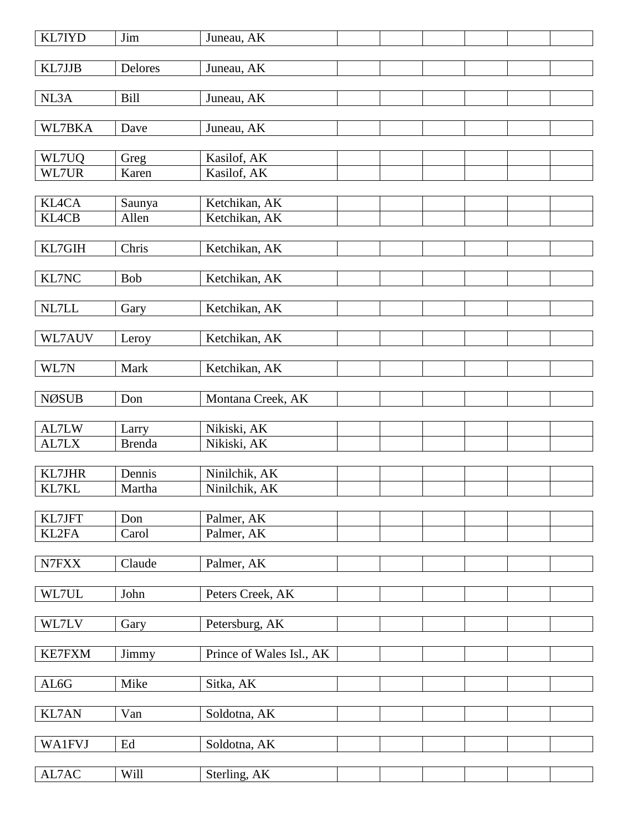| <b>KL7IYD</b>   | Jim              | Juneau, AK                     |  |  |  |
|-----------------|------------------|--------------------------------|--|--|--|
| KL7JJB          | Delores          | Juneau, AK                     |  |  |  |
| NL3A            | <b>Bill</b>      | Juneau, AK                     |  |  |  |
|                 |                  |                                |  |  |  |
| WL7BKA          | Dave             | Juneau, AK                     |  |  |  |
|                 |                  |                                |  |  |  |
| WL7UQ<br>WL7UR  | Greg<br>Karen    | Kasilof, AK<br>Kasilof, AK     |  |  |  |
|                 |                  |                                |  |  |  |
| <b>KL4CA</b>    | Saunya           | Ketchikan, AK                  |  |  |  |
| <b>KL4CB</b>    | Allen            | Ketchikan, AK                  |  |  |  |
| KL7GIH          | Chris            | Ketchikan, AK                  |  |  |  |
|                 |                  |                                |  |  |  |
| KL7NC           | Bob              | Ketchikan, AK                  |  |  |  |
|                 |                  |                                |  |  |  |
| NL7LL           | Gary             | Ketchikan, AK                  |  |  |  |
| WL7AUV          | Leroy            | Ketchikan, AK                  |  |  |  |
|                 |                  |                                |  |  |  |
| WL7N            | Mark             | Ketchikan, AK                  |  |  |  |
|                 |                  |                                |  |  |  |
| <b>NØSUB</b>    | Don              | Montana Creek, AK              |  |  |  |
| AL7LW           | Larry            | Nikiski, AK                    |  |  |  |
| AL7LX           | <b>Brenda</b>    | Nikiski, AK                    |  |  |  |
|                 |                  |                                |  |  |  |
| KL7JHR<br>KL7KL | Dennis<br>Martha | Ninilchik, AK<br>Ninilchik, AK |  |  |  |
|                 |                  |                                |  |  |  |
| KL7JFT          | Don              | Palmer, AK                     |  |  |  |
| KL2FA           | Carol            | Palmer, AK                     |  |  |  |
|                 |                  |                                |  |  |  |
| N7FXX           | Claude           | Palmer, AK                     |  |  |  |
| WL7UL           | John             | Peters Creek, AK               |  |  |  |
|                 |                  |                                |  |  |  |
| WL7LV           | Gary             | Petersburg, AK                 |  |  |  |
| <b>KE7FXM</b>   | Jimmy            | Prince of Wales Isl., AK       |  |  |  |
|                 |                  |                                |  |  |  |
| AL6G            | Mike             | Sitka, AK                      |  |  |  |
|                 |                  |                                |  |  |  |
| <b>KL7AN</b>    | Van              | Soldotna, AK                   |  |  |  |
| <b>WA1FVJ</b>   | Ed               | Soldotna, AK                   |  |  |  |
|                 |                  |                                |  |  |  |
| AL7AC           | Will             | Sterling, AK                   |  |  |  |